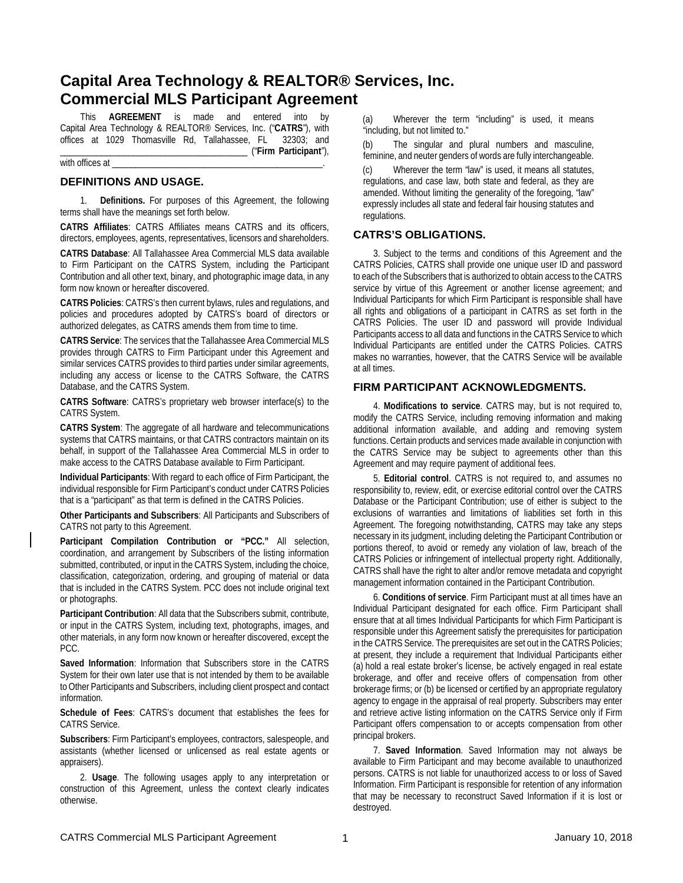# **Capital Area Technology & REALTOR® Services, Inc. Commercial MLS Participant Agreement**

This **AGREEMENT** is made and entered into by Capital Area Technology & REALTOR® Services, Inc. ("**CATRS**"), with offices at 1029 Thomasville Rd, Tallahassee, FL \_\_\_\_\_\_\_\_\_\_\_\_\_\_\_\_\_\_\_\_\_\_\_\_\_\_\_\_\_\_\_\_\_\_\_\_\_\_\_\_\_ ("**Firm Participant**"),

with offices at

### **DEFINITIONS AND USAGE.**

1. **Definitions.** For purposes of this Agreement, the following terms shall have the meanings set forth below.

**CATRS Affiliates**: CATRS Affiliates means CATRS and its officers, directors, employees, agents, representatives, licensors and shareholders.

**CATRS Database**: All Tallahassee Area Commercial MLS data available to Firm Participant on the CATRS System, including the Participant Contribution and all other text, binary, and photographic image data, in any form now known or hereafter discovered.

**CATRS Policies**: CATRS's then current bylaws, rules and regulations, and policies and procedures adopted by CATRS's board of directors or authorized delegates, as CATRS amends them from time to time.

**CATRS Service**: The services that the Tallahassee Area Commercial MLS provides through CATRS to Firm Participant under this Agreement and similar services CATRS provides to third parties under similar agreements, including any access or license to the CATRS Software, the CATRS Database, and the CATRS System.

**CATRS Software**: CATRS's proprietary web browser interface(s) to the CATRS System.

**CATRS System**: The aggregate of all hardware and telecommunications systems that CATRS maintains, or that CATRS contractors maintain on its behalf, in support of the Tallahassee Area Commercial MLS in order to make access to the CATRS Database available to Firm Participant.

**Individual Participants**: With regard to each office of Firm Participant, the individual responsible for Firm Participant's conduct under CATRS Policies that is a "participant" as that term is defined in the CATRS Policies.

**Other Participants and Subscribers**: All Participants and Subscribers of CATRS not party to this Agreement.

**Participant Compilation Contribution or "PCC."** All selection, coordination, and arrangement by Subscribers of the listing information submitted, contributed, or input in the CATRS System, including the choice, classification, categorization, ordering, and grouping of material or data that is included in the CATRS System. PCC does not include original text or photographs.

**Participant Contribution**: All data that the Subscribers submit, contribute, or input in the CATRS System, including text, photographs, images, and other materials, in any form now known or hereafter discovered, except the PCC.

**Saved Information**: Information that Subscribers store in the CATRS System for their own later use that is not intended by them to be available to Other Participants and Subscribers, including client prospect and contact information.

**Schedule of Fees**: CATRS's document that establishes the fees for CATRS Service.

**Subscribers**: Firm Participant's employees, contractors, salespeople, and assistants (whether licensed or unlicensed as real estate agents or appraisers).

2. **Usage**. The following usages apply to any interpretation or construction of this Agreement, unless the context clearly indicates otherwise.

(a) Wherever the term "including" is used, it means "including, but not limited to."

(b) The singular and plural numbers and masculine, feminine, and neuter genders of words are fully interchangeable.

(c) Wherever the term "law" is used, it means all statutes, regulations, and case law, both state and federal, as they are amended. Without limiting the generality of the foregoing, "law" expressly includes all state and federal fair housing statutes and regulations.

### **CATRS'S OBLIGATIONS.**

3. Subject to the terms and conditions of this Agreement and the CATRS Policies, CATRS shall provide one unique user ID and password to each of the Subscribers that is authorized to obtain access to the CATRS service by virtue of this Agreement or another license agreement; and Individual Participants for which Firm Participant is responsible shall have all rights and obligations of a participant in CATRS as set forth in the CATRS Policies. The user ID and password will provide Individual Participants access to all data and functions in the CATRS Service to which Individual Participants are entitled under the CATRS Policies. CATRS makes no warranties, however, that the CATRS Service will be available at all times.

### **FIRM PARTICIPANT ACKNOWLEDGMENTS.**

4. **Modifications to service**. CATRS may, but is not required to, modify the CATRS Service, including removing information and making additional information available, and adding and removing system functions. Certain products and services made available in conjunction with the CATRS Service may be subject to agreements other than this Agreement and may require payment of additional fees.

5. **Editorial control**. CATRS is not required to, and assumes no responsibility to, review, edit, or exercise editorial control over the CATRS Database or the Participant Contribution; use of either is subject to the exclusions of warranties and limitations of liabilities set forth in this Agreement. The foregoing notwithstanding, CATRS may take any steps necessary in its judgment, including deleting the Participant Contribution or portions thereof, to avoid or remedy any violation of law, breach of the CATRS Policies or infringement of intellectual property right. Additionally, CATRS shall have the right to alter and/or remove metadata and copyright management information contained in the Participant Contribution.

6. **Conditions of service**. Firm Participant must at all times have an Individual Participant designated for each office. Firm Participant shall ensure that at all times Individual Participants for which Firm Participant is responsible under this Agreement satisfy the prerequisites for participation in the CATRS Service. The prerequisites are set out in the CATRS Policies; at present, they include a requirement that Individual Participants either (a) hold a real estate broker's license, be actively engaged in real estate brokerage, and offer and receive offers of compensation from other brokerage firms; or (b) be licensed or certified by an appropriate regulatory agency to engage in the appraisal of real property. Subscribers may enter and retrieve active listing information on the CATRS Service only if Firm Participant offers compensation to or accepts compensation from other principal brokers.

7. **Saved Information**. Saved Information may not always be available to Firm Participant and may become available to unauthorized persons. CATRS is not liable for unauthorized access to or loss of Saved Information. Firm Participant is responsible for retention of any information that may be necessary to reconstruct Saved Information if it is lost or destroyed.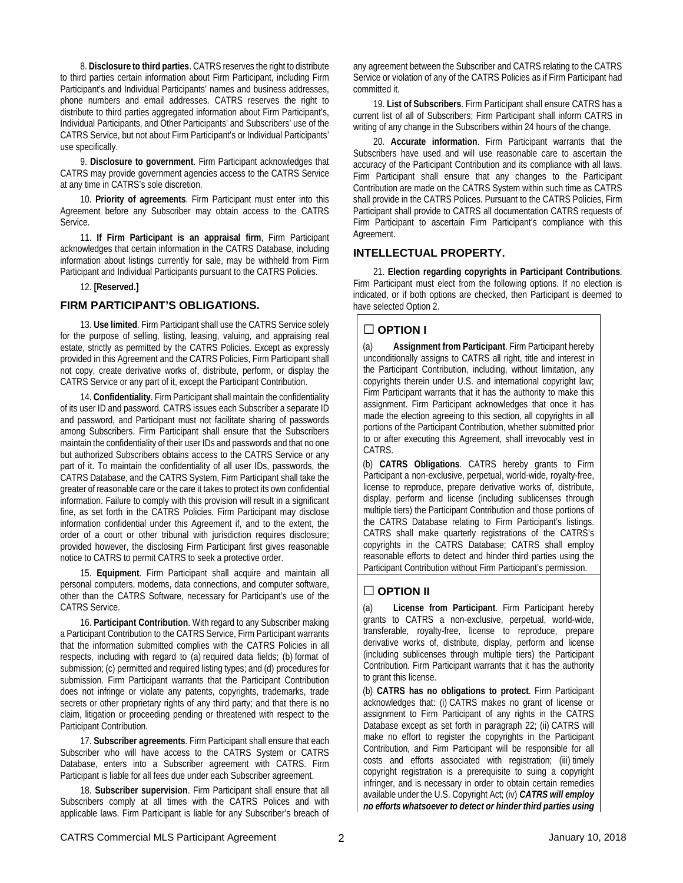8. **Disclosure to third parties**. CATRS reserves the right to distribute to third parties certain information about Firm Participant, including Firm Participant's and Individual Participants' names and business addresses, phone numbers and email addresses. CATRS reserves the right to distribute to third parties aggregated information about Firm Participant's, Individual Participants, and Other Participants' and Subscribers' use of the CATRS Service, but not about Firm Participant's or Individual Participants' use specifically.

9. **Disclosure to government**. Firm Participant acknowledges that CATRS may provide government agencies access to the CATRS Service at any time in CATRS's sole discretion.

10. **Priority of agreements**. Firm Participant must enter into this Agreement before any Subscriber may obtain access to the CATRS Service.

11. **If Firm Participant is an appraisal firm**, Firm Participant acknowledges that certain information in the CATRS Database, including information about listings currently for sale, may be withheld from Firm Participant and Individual Participants pursuant to the CATRS Policies.

12. **[Reserved.]**

# **FIRM PARTICIPANT'S OBLIGATIONS.**

13. **Use limited**. Firm Participant shall use the CATRS Service solely for the purpose of selling, listing, leasing, valuing, and appraising real estate, strictly as permitted by the CATRS Policies. Except as expressly provided in this Agreement and the CATRS Policies, Firm Participant shall not copy, create derivative works of, distribute, perform, or display the CATRS Service or any part of it, except the Participant Contribution.

14. **Confidentiality**. Firm Participant shall maintain the confidentiality of its user ID and password. CATRS issues each Subscriber a separate ID and password, and Participant must not facilitate sharing of passwords among Subscribers. Firm Participant shall ensure that the Subscribers maintain the confidentiality of their user IDs and passwords and that no one but authorized Subscribers obtains access to the CATRS Service or any part of it. To maintain the confidentiality of all user IDs, passwords, the CATRS Database, and the CATRS System, Firm Participant shall take the greater of reasonable care or the care it takes to protect its own confidential information. Failure to comply with this provision will result in a significant fine, as set forth in the CATRS Policies. Firm Participant may disclose information confidential under this Agreement if, and to the extent, the order of a court or other tribunal with jurisdiction requires disclosure; provided however, the disclosing Firm Participant first gives reasonable notice to CATRS to permit CATRS to seek a protective order.

15. **Equipment**. Firm Participant shall acquire and maintain all personal computers, modems, data connections, and computer software, other than the CATRS Software, necessary for Participant's use of the CATRS Service.

16. **Participant Contribution**. With regard to any Subscriber making a Participant Contribution to the CATRS Service, Firm Participant warrants that the information submitted complies with the CATRS Policies in all respects, including with regard to (a) required data fields; (b) format of submission; (c) permitted and required listing types; and (d) procedures for submission. Firm Participant warrants that the Participant Contribution does not infringe or violate any patents, copyrights, trademarks, trade secrets or other proprietary rights of any third party; and that there is no claim, litigation or proceeding pending or threatened with respect to the Participant Contribution.

17. **Subscriber agreements**. Firm Participant shall ensure that each Subscriber who will have access to the CATRS System or CATRS Database, enters into a Subscriber agreement with CATRS. Firm Participant is liable for all fees due under each Subscriber agreement.

18. **Subscriber supervision**. Firm Participant shall ensure that all Subscribers comply at all times with the CATRS Polices and with applicable laws. Firm Participant is liable for any Subscriber's breach of any agreement between the Subscriber and CATRS relating to the CATRS Service or violation of any of the CATRS Policies as if Firm Participant had committed it.

19. **List of Subscribers**. Firm Participant shall ensure CATRS has a current list of all of Subscribers; Firm Participant shall inform CATRS in writing of any change in the Subscribers within 24 hours of the change.

20. **Accurate information**. Firm Participant warrants that the Subscribers have used and will use reasonable care to ascertain the accuracy of the Participant Contribution and its compliance with all laws. Firm Participant shall ensure that any changes to the Participant Contribution are made on the CATRS System within such time as CATRS shall provide in the CATRS Polices. Pursuant to the CATRS Policies, Firm Participant shall provide to CATRS all documentation CATRS requests of Firm Participant to ascertain Firm Participant's compliance with this Agreement.

### **INTELLECTUAL PROPERTY.**

21. **Election regarding copyrights in Participant Contributions**. Firm Participant must elect from the following options. If no election is indicated, or if both options are checked, then Participant is deemed to have selected Option 2.

# **□ OPTION I**

(a) **Assignment from Participant**. Firm Participant hereby unconditionally assigns to CATRS all right, title and interest in the Participant Contribution, including, without limitation, any copyrights therein under U.S. and international copyright law; Firm Participant warrants that it has the authority to make this assignment. Firm Participant acknowledges that once it has made the election agreeing to this section, all copyrights in all portions of the Participant Contribution, whether submitted prior to or after executing this Agreement, shall irrevocably vest in CATRS.

(b) **CATRS Obligations**. CATRS hereby grants to Firm Participant a non-exclusive, perpetual, world-wide, royalty-free, license to reproduce, prepare derivative works of, distribute, display, perform and license (including sublicenses through multiple tiers) the Participant Contribution and those portions of the CATRS Database relating to Firm Participant's listings. CATRS shall make quarterly registrations of the CATRS's copyrights in the CATRS Database; CATRS shall employ reasonable efforts to detect and hinder third parties using the Participant Contribution without Firm Participant's permission.

# **□ OPTION II**

(a) **License from Participant**. Firm Participant hereby grants to CATRS a non-exclusive, perpetual, world-wide, transferable, royalty-free, license to reproduce, prepare derivative works of, distribute, display, perform and license (including sublicenses through multiple tiers) the Participant Contribution. Firm Participant warrants that it has the authority to grant this license.

(b) **CATRS has no obligations to protect**. Firm Participant acknowledges that: (i) CATRS makes no grant of license or assignment to Firm Participant of any rights in the CATRS Database except as set forth in paragraph 22; (ii) CATRS will make no effort to register the copyrights in the Participant Contribution, and Firm Participant will be responsible for all costs and efforts associated with registration; (iii) timely copyright registration is a prerequisite to suing a copyright infringer, and is necessary in order to obtain certain remedies available under the U.S. Copyright Act; (iv) *CATRS will employ no efforts whatsoever to detect or hinder third parties using*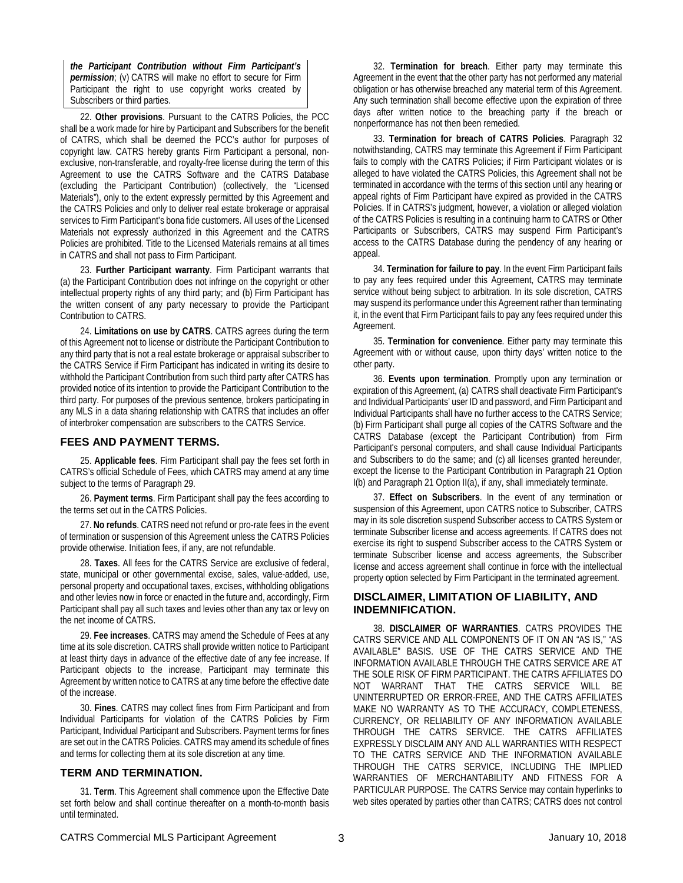*the Participant Contribution without Firm Participant's permission*; (v) CATRS will make no effort to secure for Firm Participant the right to use copyright works created by Subscribers or third parties.

22. **Other provisions**. Pursuant to the CATRS Policies, the PCC shall be a work made for hire by Participant and Subscribers for the benefit of CATRS, which shall be deemed the PCC's author for purposes of copyright law. CATRS hereby grants Firm Participant a personal, nonexclusive, non-transferable, and royalty-free license during the term of this Agreement to use the CATRS Software and the CATRS Database (excluding the Participant Contribution) (collectively, the "Licensed Materials"), only to the extent expressly permitted by this Agreement and the CATRS Policies and only to deliver real estate brokerage or appraisal services to Firm Participant's bona fide customers. All uses of the Licensed Materials not expressly authorized in this Agreement and the CATRS Policies are prohibited. Title to the Licensed Materials remains at all times in CATRS and shall not pass to Firm Participant.

23. **Further Participant warranty**. Firm Participant warrants that (a) the Participant Contribution does not infringe on the copyright or other intellectual property rights of any third party; and (b) Firm Participant has the written consent of any party necessary to provide the Participant Contribution to CATRS.

24. **Limitations on use by CATRS**. CATRS agrees during the term of this Agreement not to license or distribute the Participant Contribution to any third party that is not a real estate brokerage or appraisal subscriber to the CATRS Service if Firm Participant has indicated in writing its desire to withhold the Participant Contribution from such third party after CATRS has provided notice of its intention to provide the Participant Contribution to the third party. For purposes of the previous sentence, brokers participating in any MLS in a data sharing relationship with CATRS that includes an offer of interbroker compensation are subscribers to the CATRS Service.

### **FEES AND PAYMENT TERMS.**

25. **Applicable fees**. Firm Participant shall pay the fees set forth in CATRS's official Schedule of Fees, which CATRS may amend at any time subject to the terms of Paragraph 29.

26. **Payment terms**. Firm Participant shall pay the fees according to the terms set out in the CATRS Policies.

27. **No refunds**. CATRS need not refund or pro-rate fees in the event of termination or suspension of this Agreement unless the CATRS Policies provide otherwise. Initiation fees, if any, are not refundable.

28. **Taxes**. All fees for the CATRS Service are exclusive of federal, state, municipal or other governmental excise, sales, value-added, use, personal property and occupational taxes, excises, withholding obligations and other levies now in force or enacted in the future and, accordingly, Firm Participant shall pay all such taxes and levies other than any tax or levy on the net income of CATRS.

29. **Fee increases**. CATRS may amend the Schedule of Fees at any time at its sole discretion. CATRS shall provide written notice to Participant at least thirty days in advance of the effective date of any fee increase. If Participant objects to the increase, Participant may terminate this Agreement by written notice to CATRS at any time before the effective date of the increase.

30. **Fines**. CATRS may collect fines from Firm Participant and from Individual Participants for violation of the CATRS Policies by Firm Participant, Individual Participant and Subscribers. Payment terms for fines are set out in the CATRS Policies. CATRS may amend its schedule of fines and terms for collecting them at its sole discretion at any time.

# **TERM AND TERMINATION.**

31. **Term**. This Agreement shall commence upon the Effective Date set forth below and shall continue thereafter on a month-to-month basis until terminated.

32. **Termination for breach**. Either party may terminate this Agreement in the event that the other party has not performed any material obligation or has otherwise breached any material term of this Agreement. Any such termination shall become effective upon the expiration of three days after written notice to the breaching party if the breach or nonperformance has not then been remedied.

33. **Termination for breach of CATRS Policies**. Paragraph 32 notwithstanding, CATRS may terminate this Agreement if Firm Participant fails to comply with the CATRS Policies; if Firm Participant violates or is alleged to have violated the CATRS Policies, this Agreement shall not be terminated in accordance with the terms of this section until any hearing or appeal rights of Firm Participant have expired as provided in the CATRS Policies. If in CATRS's judgment, however, a violation or alleged violation of the CATRS Policies is resulting in a continuing harm to CATRS or Other Participants or Subscribers, CATRS may suspend Firm Participant's access to the CATRS Database during the pendency of any hearing or appeal.

34. **Termination for failure to pay**. In the event Firm Participant fails to pay any fees required under this Agreement, CATRS may terminate service without being subject to arbitration. In its sole discretion, CATRS may suspend its performance under this Agreement rather than terminating it, in the event that Firm Participant fails to pay any fees required under this Agreement.

35. **Termination for convenience**. Either party may terminate this Agreement with or without cause, upon thirty days' written notice to the other party.

36. **Events upon termination**. Promptly upon any termination or expiration of this Agreement, (a) CATRS shall deactivate Firm Participant's and Individual Participants' user ID and password, and Firm Participant and Individual Participants shall have no further access to the CATRS Service; (b) Firm Participant shall purge all copies of the CATRS Software and the CATRS Database (except the Participant Contribution) from Firm Participant's personal computers, and shall cause Individual Participants and Subscribers to do the same; and (c) all licenses granted hereunder, except the license to the Participant Contribution in Paragraph 21 Option I(b) and Paragraph 21 Option II(a), if any, shall immediately terminate.

37. **Effect on Subscribers**. In the event of any termination or suspension of this Agreement, upon CATRS notice to Subscriber, CATRS may in its sole discretion suspend Subscriber access to CATRS System or terminate Subscriber license and access agreements. If CATRS does not exercise its right to suspend Subscriber access to the CATRS System or terminate Subscriber license and access agreements, the Subscriber license and access agreement shall continue in force with the intellectual property option selected by Firm Participant in the terminated agreement.

# **DISCLAIMER, LIMITATION OF LIABILITY, AND INDEMNIFICATION.**

38. **DISCLAIMER OF WARRANTIES**. CATRS PROVIDES THE CATRS SERVICE AND ALL COMPONENTS OF IT ON AN "AS IS," "AS AVAILABLE" BASIS. USE OF THE CATRS SERVICE AND THE INFORMATION AVAILABLE THROUGH THE CATRS SERVICE ARE AT THE SOLE RISK OF FIRM PARTICIPANT. THE CATRS AFFILIATES DO NOT WARRANT THAT THE CATRS SERVICE WILL BE UNINTERRUPTED OR ERROR-FREE, AND THE CATRS AFFILIATES MAKE NO WARRANTY AS TO THE ACCURACY, COMPLETENESS, CURRENCY, OR RELIABILITY OF ANY INFORMATION AVAILABLE THROUGH THE CATRS SERVICE. THE CATRS AFFILIATES EXPRESSLY DISCLAIM ANY AND ALL WARRANTIES WITH RESPECT TO THE CATRS SERVICE AND THE INFORMATION AVAILABLE THROUGH THE CATRS SERVICE, INCLUDING THE IMPLIED WARRANTIES OF MERCHANTABILITY AND FITNESS FOR A PARTICULAR PURPOSE. The CATRS Service may contain hyperlinks to web sites operated by parties other than CATRS; CATRS does not control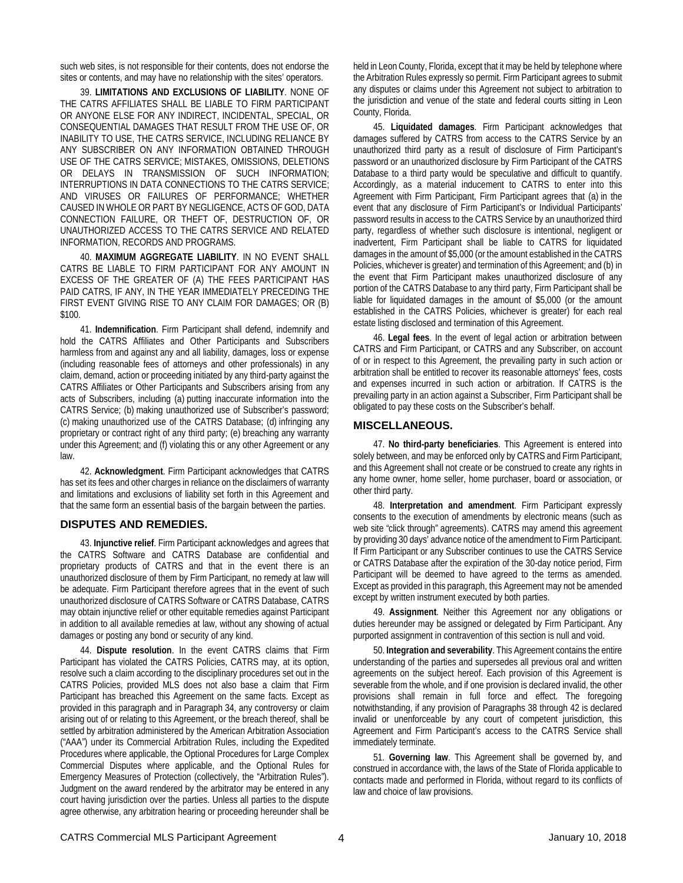such web sites, is not responsible for their contents, does not endorse the sites or contents, and may have no relationship with the sites' operators.

39. **LIMITATIONS AND EXCLUSIONS OF LIABILITY**. NONE OF THE CATRS AFFILIATES SHALL BE LIABLE TO FIRM PARTICIPANT OR ANYONE ELSE FOR ANY INDIRECT, INCIDENTAL, SPECIAL, OR CONSEQUENTIAL DAMAGES THAT RESULT FROM THE USE OF, OR INABILITY TO USE, THE CATRS SERVICE, INCLUDING RELIANCE BY ANY SUBSCRIBER ON ANY INFORMATION OBTAINED THROUGH USE OF THE CATRS SERVICE; MISTAKES, OMISSIONS, DELETIONS OR DELAYS IN TRANSMISSION OF SUCH INFORMATION; INTERRUPTIONS IN DATA CONNECTIONS TO THE CATRS SERVICE; AND VIRUSES OR FAILURES OF PERFORMANCE; WHETHER CAUSED IN WHOLE OR PART BY NEGLIGENCE, ACTS OF GOD, DATA CONNECTION FAILURE, OR THEFT OF, DESTRUCTION OF, OR UNAUTHORIZED ACCESS TO THE CATRS SERVICE AND RELATED INFORMATION, RECORDS AND PROGRAMS.

40. **MAXIMUM AGGREGATE LIABILITY**. IN NO EVENT SHALL CATRS BE LIABLE TO FIRM PARTICIPANT FOR ANY AMOUNT IN EXCESS OF THE GREATER OF (A) THE FEES PARTICIPANT HAS PAID CATRS, IF ANY, IN THE YEAR IMMEDIATELY PRECEDING THE FIRST EVENT GIVING RISE TO ANY CLAIM FOR DAMAGES; OR (B) \$100.

41. **Indemnification**. Firm Participant shall defend, indemnify and hold the CATRS Affiliates and Other Participants and Subscribers harmless from and against any and all liability, damages, loss or expense (including reasonable fees of attorneys and other professionals) in any claim, demand, action or proceeding initiated by any third-party against the CATRS Affiliates or Other Participants and Subscribers arising from any acts of Subscribers, including (a) putting inaccurate information into the CATRS Service; (b) making unauthorized use of Subscriber's password; (c) making unauthorized use of the CATRS Database; (d) infringing any proprietary or contract right of any third party; (e) breaching any warranty under this Agreement; and (f) violating this or any other Agreement or any law.

42. **Acknowledgment**. Firm Participant acknowledges that CATRS has set its fees and other charges in reliance on the disclaimers of warranty and limitations and exclusions of liability set forth in this Agreement and that the same form an essential basis of the bargain between the parties.

### **DISPUTES AND REMEDIES.**

43. **Injunctive relief**. Firm Participant acknowledges and agrees that the CATRS Software and CATRS Database are confidential and proprietary products of CATRS and that in the event there is an unauthorized disclosure of them by Firm Participant, no remedy at law will be adequate. Firm Participant therefore agrees that in the event of such unauthorized disclosure of CATRS Software or CATRS Database, CATRS may obtain injunctive relief or other equitable remedies against Participant in addition to all available remedies at law, without any showing of actual damages or posting any bond or security of any kind.

44. **Dispute resolution**. In the event CATRS claims that Firm Participant has violated the CATRS Policies, CATRS may, at its option, resolve such a claim according to the disciplinary procedures set out in the CATRS Policies, provided MLS does not also base a claim that Firm Participant has breached this Agreement on the same facts. Except as provided in this paragraph and in Paragraph 34, any controversy or claim arising out of or relating to this Agreement, or the breach thereof, shall be settled by arbitration administered by the American Arbitration Association ("AAA") under its Commercial Arbitration Rules, including the Expedited Procedures where applicable, the Optional Procedures for Large Complex Commercial Disputes where applicable, and the Optional Rules for Emergency Measures of Protection (collectively, the "Arbitration Rules"). Judgment on the award rendered by the arbitrator may be entered in any court having jurisdiction over the parties. Unless all parties to the dispute agree otherwise, any arbitration hearing or proceeding hereunder shall be

held in Leon County, Florida, except that it may be held by telephone where the Arbitration Rules expressly so permit. Firm Participant agrees to submit any disputes or claims under this Agreement not subject to arbitration to the jurisdiction and venue of the state and federal courts sitting in Leon County, Florida.

45. **Liquidated damages**. Firm Participant acknowledges that damages suffered by CATRS from access to the CATRS Service by an unauthorized third party as a result of disclosure of Firm Participant's password or an unauthorized disclosure by Firm Participant of the CATRS Database to a third party would be speculative and difficult to quantify. Accordingly, as a material inducement to CATRS to enter into this Agreement with Firm Participant, Firm Participant agrees that (a) in the event that any disclosure of Firm Participant's or Individual Participants' password results in access to the CATRS Service by an unauthorized third party, regardless of whether such disclosure is intentional, negligent or inadvertent, Firm Participant shall be liable to CATRS for liquidated damages in the amount of \$5,000 (or the amount established in the CATRS Policies, whichever is greater) and termination of this Agreement; and (b) in the event that Firm Participant makes unauthorized disclosure of any portion of the CATRS Database to any third party, Firm Participant shall be liable for liquidated damages in the amount of \$5,000 (or the amount established in the CATRS Policies, whichever is greater) for each real estate listing disclosed and termination of this Agreement.

46. **Legal fees**. In the event of legal action or arbitration between CATRS and Firm Participant, or CATRS and any Subscriber, on account of or in respect to this Agreement, the prevailing party in such action or arbitration shall be entitled to recover its reasonable attorneys' fees, costs and expenses incurred in such action or arbitration. If CATRS is the prevailing party in an action against a Subscriber, Firm Participant shall be obligated to pay these costs on the Subscriber's behalf.

#### **MISCELLANEOUS.**

47. **No third-party beneficiaries**. This Agreement is entered into solely between, and may be enforced only by CATRS and Firm Participant, and this Agreement shall not create or be construed to create any rights in any home owner, home seller, home purchaser, board or association, or other third party.

48. **Interpretation and amendment**. Firm Participant expressly consents to the execution of amendments by electronic means (such as web site "click through" agreements). CATRS may amend this agreement by providing 30 days' advance notice of the amendment to Firm Participant. If Firm Participant or any Subscriber continues to use the CATRS Service or CATRS Database after the expiration of the 30-day notice period, Firm Participant will be deemed to have agreed to the terms as amended. Except as provided in this paragraph, this Agreement may not be amended except by written instrument executed by both parties.

49. **Assignment**. Neither this Agreement nor any obligations or duties hereunder may be assigned or delegated by Firm Participant. Any purported assignment in contravention of this section is null and void.

50. **Integration and severability**. This Agreement contains the entire understanding of the parties and supersedes all previous oral and written agreements on the subject hereof. Each provision of this Agreement is severable from the whole, and if one provision is declared invalid, the other provisions shall remain in full force and effect. The foregoing notwithstanding, if any provision of Paragraphs 38 through 42 is declared invalid or unenforceable by any court of competent jurisdiction, this Agreement and Firm Participant's access to the CATRS Service shall immediately terminate.

51. **Governing law**. This Agreement shall be governed by, and construed in accordance with, the laws of the State of Florida applicable to contacts made and performed in Florida, without regard to its conflicts of law and choice of law provisions.